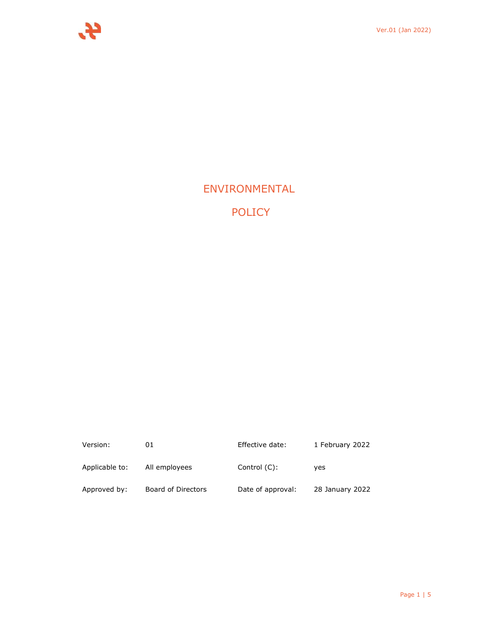

# ENVIRONMENTAL

POLICY

| Version:       | 01                 | Effective date:   | 1 February 2022 |
|----------------|--------------------|-------------------|-----------------|
| Applicable to: | All employees      | Control (C):      | ves             |
| Approved by:   | Board of Directors | Date of approval: | 28 January 2022 |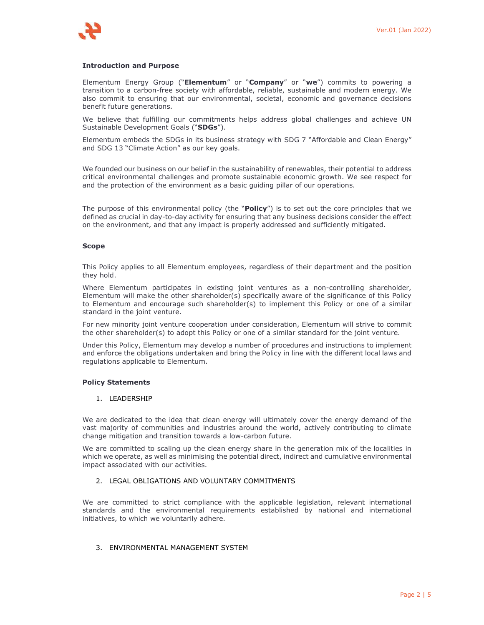#### **Introduction and Purpose**

Elementum Energy Group ("**Elementum**" or "**Company**" or "**we**") commits to powering a transition to a carbon-free society with affordable, reliable, sustainable and modern energy. We also commit to ensuring that our environmental, societal, economic and governance decisions benefit future generations.

We believe that fulfilling our commitments helps address global challenges and achieve UN Sustainable Development Goals ("**SDGs**").

Elementum embeds the SDGs in its business strategy with SDG 7 "Affordable and Clean Energy" and SDG 13 "Climate Action" as our key goals.

We founded our business on our belief in the sustainability of renewables, their potential to address critical environmental challenges and promote sustainable economic growth. We see respect for and the protection of the environment as a basic guiding pillar of our operations.

The purpose of this environmental policy (the "**Policy**") is to set out the core principles that we defined as crucial in day-to-day activity for ensuring that any business decisions consider the effect on the environment, and that any impact is properly addressed and sufficiently mitigated.

#### **Scope**

This Policy applies to all Elementum employees, regardless of their department and the position they hold.

Where Elementum participates in existing joint ventures as a non-controlling shareholder, Elementum will make the other shareholder(s) specifically aware of the significance of this Policy to Elementum and encourage such shareholder(s) to implement this Policy or one of a similar standard in the joint venture.

For new minority joint venture cooperation under consideration, Elementum will strive to commit the other shareholder(s) to adopt this Policy or one of a similar standard for the joint venture.

Under this Policy, Elementum may develop a number of procedures and instructions to implement and enforce the obligations undertaken and bring the Policy in line with the different local laws and regulations applicable to Elementum.

#### **Policy Statements**

### 1. LEADERSHIP

We are dedicated to the idea that clean energy will ultimately cover the energy demand of the vast majority of communities and industries around the world, actively contributing to climate change mitigation and transition towards a low-carbon future.

We are committed to scaling up the clean energy share in the generation mix of the localities in which we operate, as well as minimising the potential direct, indirect and cumulative environmental impact associated with our activities.

# 2. LEGAL OBLIGATIONS AND VOLUNTARY COMMITMENTS

We are committed to strict compliance with the applicable legislation, relevant international standards and the environmental requirements established by national and international initiatives, to which we voluntarily adhere.

# 3. ENVIRONMENTAL MANAGEMENT SYSTEM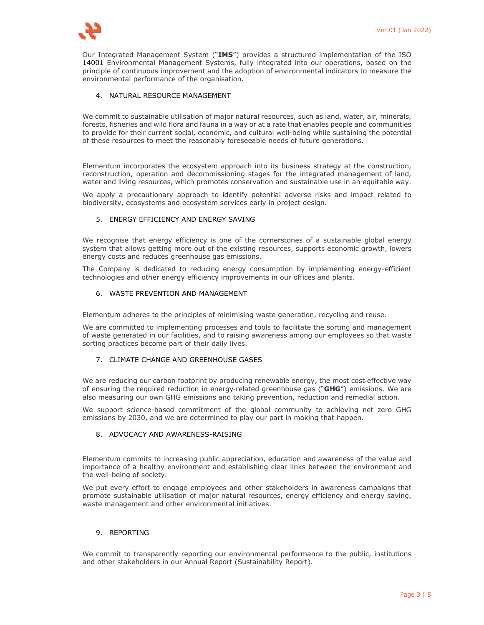

Our Integrated Management System ("**IMS**") provides a structured implementation of the ISO 14001 Environmental Management Systems, fully integrated into our operations, based on the principle of continuous improvement and the adoption of environmental indicators to measure the environmental performance of the organisation.

# 4. NATURAL RESOURCE MANAGEMENT

We commit to sustainable utilisation of major natural resources, such as land, water, air, minerals, forests, fisheries and wild flora and fauna in a way or at a rate that enables people and communities to provide for their current social, economic, and cultural well-being while sustaining the potential of these resources to meet the reasonably foreseeable needs of future generations.

Elementum incorporates the ecosystem approach into its business strategy at the construction, reconstruction, operation and decommissioning stages for the integrated management of land, water and living resources, which promotes conservation and sustainable use in an equitable way.

We apply a precautionary approach to identify potential adverse risks and impact related to biodiversity, ecosystems and ecosystem services early in project design.

# 5. ENERGY EFFICIENCY AND ENERGY SAVING

We recognise that energy efficiency is one of the cornerstones of a sustainable global energy system that allows getting more out of the existing resources, supports economic growth, lowers energy costs and reduces greenhouse gas emissions.

The Company is dedicated to reducing energy consumption by implementing energy-efficient technologies and other energy efficiency improvements in our offices and plants.

#### 6. WASTE PREVENTION AND MANAGEMENT

Elementum adheres to the principles of minimising waste generation, recycling and reuse.

We are committed to implementing processes and tools to facilitate the sorting and management of waste generated in our facilities, and to raising awareness among our employees so that waste sorting practices become part of their daily lives.

#### 7. CLIMATE CHANGE AND GREENHOUSE GASES

We are reducing our carbon footprint by producing renewable energy, the most cost-effective way of ensuring the required reduction in energy‑related greenhouse gas ("**GHG**") emissions. We are also measuring our own GHG emissions and taking prevention, reduction and remedial action.

We support science-based commitment of the global community to achieving net zero GHG emissions by 2030, and we are determined to play our part in making that happen.

# 8. ADVOCACY AND AWARENESS-RAISING

Elementum commits to increasing public appreciation, education and awareness of the value and importance of a healthy environment and establishing clear links between the environment and the well-being of society.

We put every effort to engage employees and other stakeholders in awareness campaigns that promote sustainable utilisation of major natural resources, energy efficiency and energy saving, waste management and other environmental initiatives.

#### 9. REPORTING

We commit to transparently reporting our environmental performance to the public, institutions and other stakeholders in our Annual Report (Sustainability Report).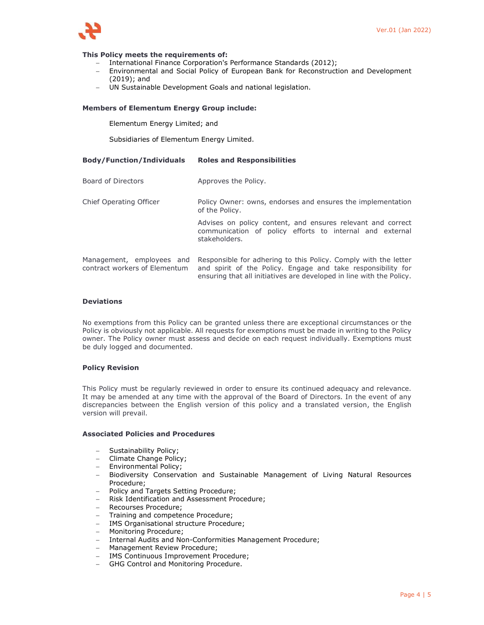

#### **This Policy meets the requirements of:**

- International Finance Corporation's Performance Standards (2012);
- Environmental and Social Policy of European Bank for Reconstruction and Development (2019); and
- UN Sustainable Development Goals and national legislation.

#### **Members of Elementum Energy Group include:**

Elementum Energy Limited; and

Subsidiaries of Elementum Energy Limited.

| <b>Body/Function/Individuals</b> | <b>Roles and Responsibilities</b> |
|----------------------------------|-----------------------------------|
|----------------------------------|-----------------------------------|

| Board of Directors                                         | Approves the Policy.                                                                                                                                                                                    |  |
|------------------------------------------------------------|---------------------------------------------------------------------------------------------------------------------------------------------------------------------------------------------------------|--|
| Chief Operating Officer                                    | Policy Owner: owns, endorses and ensures the implementation<br>of the Policy.                                                                                                                           |  |
|                                                            | Advises on policy content, and ensures relevant and correct<br>communication of policy efforts to internal and external<br>stakeholders.                                                                |  |
| Management, employees and<br>contract workers of Elementum | Responsible for adhering to this Policy. Comply with the letter<br>and spirit of the Policy. Engage and take responsibility for<br>ensuring that all initiatives are developed in line with the Policy. |  |

#### **Deviations**

No exemptions from this Policy can be granted unless there are exceptional circumstances or the Policy is obviously not applicable. All requests for exemptions must be made in writing to the Policy owner. The Policy owner must assess and decide on each request individually. Exemptions must be duly logged and documented.

#### **Policy Revision**

This Policy must be regularly reviewed in order to ensure its continued adequacy and relevance. It may be amended at any time with the approval of the Board of Directors. In the event of any discrepancies between the English version of this policy and a translated version, the English version will prevail.

# **Associated Policies and Procedures**

- Sustainability Policy;
- Climate Change Policy;
- Environmental Policy;
- Biodiversity Conservation and Sustainable Management of Living Natural Resources Procedure;
- Policy and Targets Setting Procedure;
- Risk Identification and Assessment Procedure;
- Recourses Procedure;
- Training and competence Procedure;
- IMS Organisational structure Procedure;
- Monitoring Procedure;
- Internal Audits and Non-Conformities Management Procedure;
- Management Review Procedure;
- IMS Continuous Improvement Procedure;
- GHG Control and Monitoring Procedure.